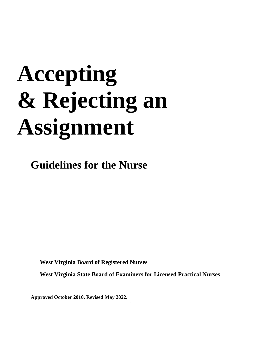# **Accepting & Rejecting an Assignment**

**Guidelines for the Nurse**

 **West Virginia Board of Registered Nurses**

 **West Virginia State Board of Examiners for Licensed Practical Nurses**

**Approved October 2010. Revised May 2022.**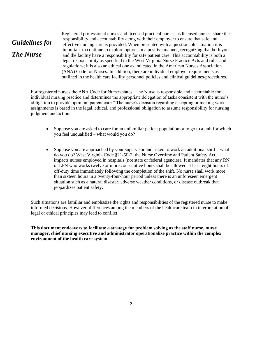## *Guidelines for The Nurse*

Registered professional nurses and licensed practical nurses, as licensed nurses, share the responsibility and accountability along with their employer to ensure that safe and effective nursing care is provided. When presented with a questionable situation it is important to continue to explore options in a positive manner, recognizing that both you and the facility have a responsibility for safe patient care. This accountability is both a legal responsibility as specified in the West Virginia Nurse Practice Acts and rules and regulations; it is also an ethical one as indicated in the American Nurses Association (ANA) Code for Nurses. In addition, there are individual employer requirements as outlined in the health care facility personnel policies and clinical guidelines/procedures.

For registered nurses the ANA Code for Nurses states "The Nurse is responsible and accountable for individual nursing practice and determines the appropriate delegation of tasks consistent with the nurse's obligation to provide optimum patient care." The nurse's decision regarding accepting or making work assignments is based in the legal, ethical, and professional obligation to assume responsibility for nursing judgment and action.

- Suppose you are asked to care for an unfamiliar patient population or to go to a unit for which you feel unqualified – what would you do?
- Suppose you are approached by your supervisor and asked to work an additional shift what do you do? West Virginia Code §21-5F-3, the Nurse Overtime and Patient Safety Act, impacts nurses employed in hospitals (not state or federal agencies). It mandates that any RN or LPN who works twelve or more consecutive hours shall be allowed at least eight hours of off-duty time immediately following the completion of the shift. No nurse shall work more than sixteen hours in a twenty-four-hour period unless there is an unforeseen emergent situation such as a natural disaster, adverse weather conditions, or disease outbreak that jeopardizes patient safety.

Such situations are familiar and emphasize the rights and responsibilities of the registered nurse to make informed decisions. However, differences among the members of the healthcare team in interpretation of legal or ethical principles may lead to conflict.

**This document endeavors to facilitate a strategy for problem solving as the staff nurse, nurse manager, chief nursing executive and administrator operationalize practice within the complex environment of the health care system.**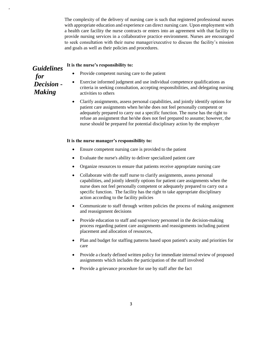The complexity of the delivery of nursing care is such that registered professional nurses with appropriate education and experience can direct nursing care. Upon employment with a health care facility the nurse contracts or enters into an agreement with that facility to provide nursing services in a collaborative practice environment. Nurses are encouraged to seek consultation with their nurse manager/executive to discuss the facility's mission and goals as well as their policies and procedures.

### **It is the nurse's responsibility to:**

## *Guidelines for Decision -* **.** *Making*

,

- Provide competent nursing care to the patient
- Exercise informed judgment and use individual competence qualifications as criteria in seeking consultation, accepting responsibilities, and delegating nursing activities to others
- Clarify assignments, assess personal capabilities, and jointly identify options for patient care assignments when he/she does not feel personally competent or adequately prepared to carry out a specific function. The nurse has the right to refuse an assignment that he/she does not feel prepared to assume; however, the nurse should be prepared for potential disciplinary action by the employer

#### **It is the nurse manager's responsibility to:**

- Ensure competent nursing care is provided to the patient
- Evaluate the nurse's ability to deliver specialized patient care
- Organize resources to ensure that patients receive appropriate nursing care
- Collaborate with the staff nurse to clarify assignments, assess personal capabilities, and jointly identify options for patient care assignments when the nurse does not feel personally competent or adequately prepared to carry out a specific function. The facility has the right to take appropriate disciplinary action according to the facility policies
- Communicate to staff through written policies the process of making assignment and reassignment decisions
- Provide education to staff and supervisory personnel in the decision-making process regarding patient care assignments and reassignments including patient placement and allocation of resources,
- Plan and budget for staffing patterns based upon patient's acuity and priorities for care
- Provide a clearly defined written policy for immediate internal review of proposed assignments which includes the participation of the staff involved
- Provide a grievance procedure for use by staff after the fact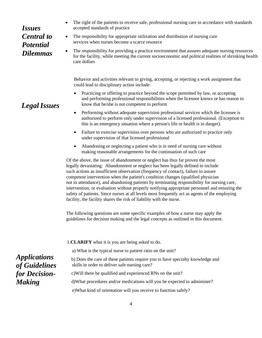## *Issues Central to Potential Dilemmas*

*LegalIssues*

- The right of the patients to receive safe, professional nursing care in accordance with standards accepted standards of practice
- The responsibility for appropriate utilization and distribution of nursing care services when nurses become a scarce resource
- The responsibility for providing a practice environment that assures adequate nursing resources for the facility, while meeting the current socioeconomic and political realities of shrinking health care dollars

Behavior and activities relevant to giving, accepting, or rejecting a work assignment that could lead to disciplinary action include:

- Practicing or offering to practice beyond the scope permitted by law, or accepting and performing professional responsibilities when the licensee knows or has reason to know that he/she is not competent to perform
- Performing without adequate supervision professional services which the licensee is authorized to perform only under supervision of a licensed professional. (Exception to this is an emergency situation where a person's life or health is in danger).
- Failure to exercise supervision over persons who are authorized to practice only under supervision of that licensed professional
- Abandoning or neglecting a patient who is in need of nursing care without making reasonable arrangements for the continuation of such care

Of the above, the issue of abandonment or neglect has thus far proven the most legally devastating. Abandonment or neglect has been legally defined to include such actions as insufficient observation (frequency of contact), failure to assure competent intervention when the patient's condition changes (qualified physician<br>contribution when the patients in a structure in the parameter in the parameter of the property not in attendance), and abandoning patients by terminating responsibility for nursing care, safety of patients. Since nurses at all levels most frequently act as agents of the employing intervention, or evaluation without properly notifying appropriate personnel and ensuring the facility, the facility shares the risk of liability with the nurse.

The following questions are some specific examples of how a nurse may apply the Fire following questions are some specific examples of now a nurse may apply the guidelines for decision making and the legal concepts as outlined in this document.

|                                      | 1. CLARIFY what it is you are being asked to do.                                                                                |
|--------------------------------------|---------------------------------------------------------------------------------------------------------------------------------|
|                                      | a) What is the typical nurse to patient ratio on the unit?                                                                      |
| <i>Applications</i><br>of Guidelines | b) Does the care of these patients require you to have specialty knowledge and<br>skills in order to deliver safe nursing care? |
| for Decision-                        | c) Will there be qualified and experienced RNs on the unit?                                                                     |
| <b>Making</b>                        | d) What procedures and/or medications will you be expected to administer?                                                       |
|                                      | e) What kind of orientation will you receive to function safely?                                                                |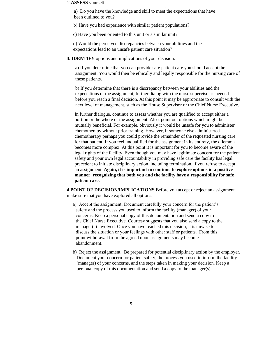#### 2.**ASSESS** yourself

 a) Do you have the knowledge and skill to meet the expectations that have been outlined to you?

b) Have you had experience with similar patient populations?

c) Have you been oriented to this unit or a similar unit?

 d) Would the perceived discrepancies between your abilities and the expectations lead to an unsafe patient care situation?

**3. IDENTIFY** options and implications of your decision.

a) If you determine that you can provide safe patient care you should accept the assignment. You would then be ethically and legally responsible for the nursing care of these patients.

:

b) If you determine that there is a discrepancy between your abilities and the expectations of the assignment, further dialog with the nurse supervisor is needed before you reach a final decision. At this point it may be appropriate to consult with the next level of management, such as the House Supervisor or the Chief Nurse Executive.

In further dialogue, continue to assess whether you are qualified to accept either a portion or the whole of the assignment. Also, point out options which might be mutually beneficial. For example, obviously it would be unsafe for you to administer chemotherapy without prior training. However, if someone else administered chemotherapy perhaps you could provide the remainder of the requested nursing care for that patient. If you feel unqualified for the assignment in its entirety, the dilemma becomes more complex. At this point it is important for you to become aware of the legal rights of the facility. Even though you may have legitimate concern for the patient safety and your own legal accountability in providing safe care the facility has legal precedent to initiate disciplinary action, including termination, if you refuse to accept an assignment. **Again, it is important to continue to explore options in a positive manner, recognizing that both you and the facility have a responsibility for safe patient care.** 

**4.POINT OF DECISION/IMPLICATIONS** Before you accept or reject an assignment make sure that you have explored all options.

- a) Accept the assignment: Document carefully your concern for the patient's safety and the process you used to inform the facility (manager) of your concerns. Keep a personal copy of this documentation and send a copy to the Chief Nurse Executive. Courtesy suggests that you also send a copy to the manager(s) involved. Once you have reached this decision, it is unwise to discuss the situation or your feelings with other staff or patients. From this point withdrawal from the agreed upon assignments may become abandonment.
- b) Reject the assignment. Be prepared for potential disciplinary action by the employer. Document your concern for patient safety, the process you used to inform the facility (manager) of your concerns, and the steps taken in making your decision. Keep a personal copy of this documentation and send a copy to the manager(s).